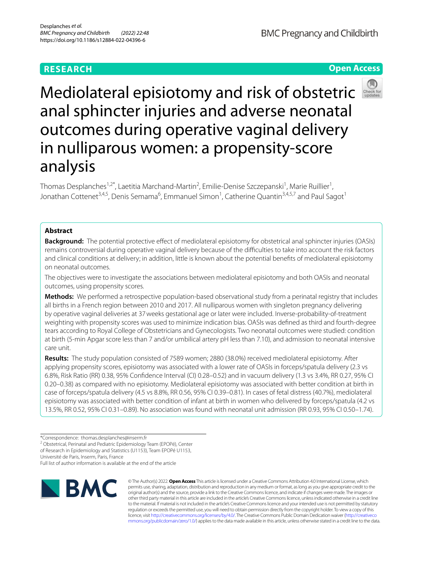# **RESEARCH**

Mediolateral episiotomy and risk of obstetric anal sphincter injuries and adverse neonatal outcomes during operative vaginal delivery in nulliparous women: a propensity-score analysis

Thomas Desplanches<sup>1,2\*</sup>, Laetitia Marchand-Martin<sup>2</sup>, Emilie-Denise Szczepanski<sup>1</sup>, Marie Ruillier<sup>1</sup>, Jonathan Cottenet<sup>3,4,5</sup>, Denis Semama<sup>6</sup>, Emmanuel Simon<sup>1</sup>, Catherine Quantin<sup>3,4,5,7</sup> and Paul Sagot<sup>1</sup>

## **Abstract**

**Background:** The potential protective efect of mediolateral episiotomy for obstetrical anal sphincter injuries (OASIs) remains controversial during operative vaginal delivery because of the difficulties to take into account the risk factors and clinical conditions at delivery; in addition, little is known about the potential benefts of mediolateral episiotomy on neonatal outcomes.

The objectives were to investigate the associations between mediolateral episiotomy and both OASIs and neonatal outcomes, using propensity scores.

**Methods:** We performed a retrospective population-based observational study from a perinatal registry that includes all births in a French region between 2010 and 2017. All nulliparous women with singleton pregnancy delivering by operative vaginal deliveries at 37weeks gestational age or later were included. Inverse-probability-of-treatment weighting with propensity scores was used to minimize indication bias. OASIs was defned as third and fourth-degree tears according to Royal College of Obstetricians and Gynecologists. Two neonatal outcomes were studied: condition at birth (5-min Apgar score less than 7 and/or umbilical artery pH less than 7.10), and admission to neonatal intensive care unit.

**Results:** The study population consisted of 7589 women; 2880 (38.0%) received mediolateral episiotomy. After applying propensity scores, episiotomy was associated with a lower rate of OASIs in forceps/spatula delivery (2.3 vs 6.8%, Risk Ratio (RR) 0.38, 95% Confdence Interval (CI) 0.28–0.52) and in vacuum delivery (1.3 vs 3.4%, RR 0.27, 95% CI 0.20–0.38) as compared with no episiotomy. Mediolateral episiotomy was associated with better condition at birth in case of forceps/spatula delivery (4.5 vs 8.8%, RR 0.56, 95% CI 0.39–0.81). In cases of fetal distress (40.7%), mediolateral episiotomy was associated with better condition of infant at birth in women who delivered by forceps/spatula (4.2 vs 13.5%, RR 0.52, 95% CI 0.31–0.89). No association was found with neonatal unit admission (RR 0.93, 95% CI 0.50–1.74).

<sup>2</sup> Obstetrical, Perinatal and Pediatric Epidemiology Team (EPOPé), Center

of Research in Epidemiology and Statistics (U1153), Team EPOPé U1153, Université de Paris, Inserm, Paris, France

Full list of author information is available at the end of the article



© The Author(s) 2022. **Open Access** This article is licensed under a Creative Commons Attribution 4.0 International License, which permits use, sharing, adaptation, distribution and reproduction in any medium or format, as long as you give appropriate credit to the original author(s) and the source, provide a link to the Creative Commons licence, and indicate if changes were made. The images or other third party material in this article are included in the article's Creative Commons licence, unless indicated otherwise in a credit line to the material. If material is not included in the article's Creative Commons licence and your intended use is not permitted by statutory regulation or exceeds the permitted use, you will need to obtain permission directly from the copyright holder. To view a copy of this licence, visit [http://creativecommons.org/licenses/by/4.0/.](http://creativecommons.org/licenses/by/4.0/) The Creative Commons Public Domain Dedication waiver ([http://creativeco](http://creativecommons.org/publicdomain/zero/1.0/) [mmons.org/publicdomain/zero/1.0/](http://creativecommons.org/publicdomain/zero/1.0/)) applies to the data made available in this article, unless otherwise stated in a credit line to the data.





<sup>\*</sup>Correspondence: thomas.desplanches@inserm.fr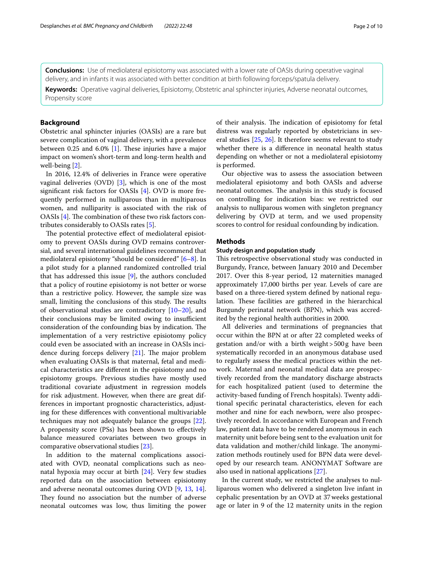**Conclusions:** Use of mediolateral episiotomy was associated with a lower rate of OASIs during operative vaginal delivery, and in infants it was associated with better condition at birth following forceps/spatula delivery.

**Keywords:** Operative vaginal deliveries, Episiotomy, Obstetric anal sphincter injuries, Adverse neonatal outcomes, Propensity score

### **Background**

Obstetric anal sphincter injuries (OASIs) are a rare but severe complication of vaginal delivery, with a prevalence between 0.25 and  $6.0\%$  [\[1](#page-8-0)]. These injuries have a major impact on women's short-term and long-term health and well-being [[2\]](#page-8-1).

In 2016, 12.4% of deliveries in France were operative vaginal deliveries (OVD) [[3\]](#page-8-2), which is one of the most signifcant risk factors for OASIs [\[4](#page-8-3)]. OVD is more frequently performed in nulliparous than in multiparous women, and nulliparity is associated with the risk of OASIs [[4\]](#page-8-3). The combination of these two risk factors contributes considerably to OASIs rates [\[5](#page-8-4)].

The potential protective effect of mediolateral episiotomy to prevent OASIs during OVD remains controversial, and several international guidelines recommend that mediolateral episiotomy "should be considered" [[6–](#page-8-5)[8\]](#page-8-6). In a pilot study for a planned randomized controlled trial that has addressed this issue [\[9](#page-8-7)], the authors concluded that a policy of routine episiotomy is not better or worse than a restrictive policy. However, the sample size was small, limiting the conclusions of this study. The results of observational studies are contradictory [\[10](#page-8-8)[–20\]](#page-8-9), and their conclusions may be limited owing to insufficient consideration of the confounding bias by indication. The implementation of a very restrictive episiotomy policy could even be associated with an increase in OASIs incidence during forceps delivery  $[21]$  $[21]$ . The major problem when evaluating OASIs is that maternal, fetal and medical characteristics are diferent in the episiotomy and no episiotomy groups. Previous studies have mostly used traditional covariate adjustment in regression models for risk adjustment. However, when there are great differences in important prognostic characteristics, adjusting for these diferences with conventional multivariable techniques may not adequately balance the groups [\[22](#page-8-11)]. A propensity score (PSs) has been shown to efectively balance measured covariates between two groups in comparative observational studies [\[23\]](#page-8-12).

In addition to the maternal complications associated with OVD, neonatal complications such as neonatal hypoxia may occur at birth [\[24](#page-8-13)]. Very few studies reported data on the association between episiotomy and adverse neonatal outcomes during OVD [[9](#page-8-7), [13,](#page-8-14) [14](#page-8-15)]. They found no association but the number of adverse neonatal outcomes was low, thus limiting the power of their analysis. The indication of episiotomy for fetal distress was regularly reported by obstetricians in several studies [[25,](#page-8-16) [26\]](#page-8-17). It therefore seems relevant to study whether there is a diference in neonatal health status depending on whether or not a mediolateral episiotomy is performed.

Our objective was to assess the association between mediolateral episiotomy and both OASIs and adverse neonatal outcomes. The analysis in this study is focused on controlling for indication bias: we restricted our analysis to nulliparous women with singleton pregnancy delivering by OVD at term, and we used propensity scores to control for residual confounding by indication.

### **Methods**

### **Study design and population study**

This retrospective observational study was conducted in Burgundy, France, between January 2010 and December 2017. Over this 8-year period, 12 maternities managed approximately 17,000 births per year. Levels of care are based on a three-tiered system defned by national regulation. These facilities are gathered in the hierarchical Burgundy perinatal network (BPN), which was accredited by the regional health authorities in 2000.

All deliveries and terminations of pregnancies that occur within the BPN at or after 22 completed weeks of gestation and/or with a birth weight>500g have been systematically recorded in an anonymous database used to regularly assess the medical practices within the network. Maternal and neonatal medical data are prospectively recorded from the mandatory discharge abstracts for each hospitalized patient (used to determine the activity-based funding of French hospitals). Twenty additional specifc perinatal characteristics, eleven for each mother and nine for each newborn, were also prospectively recorded. In accordance with European and French law, patient data have to be rendered anonymous in each maternity unit before being sent to the evaluation unit for data validation and mother/child linkage. The anonymization methods routinely used for BPN data were developed by our research team. ANONYMAT Software are also used in national applications [\[27](#page-9-0)].

In the current study, we restricted the analyses to nulliparous women who delivered a singleton live infant in cephalic presentation by an OVD at 37weeks gestational age or later in 9 of the 12 maternity units in the region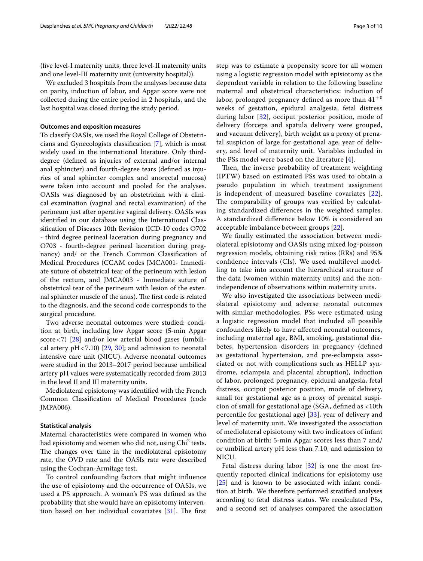(fve level-I maternity units, three level-II maternity units and one level-III maternity unit (university hospital)).

We excluded 3 hospitals from the analyses because data on parity, induction of labor, and Apgar score were not collected during the entire period in 2 hospitals, and the last hospital was closed during the study period.

### **Outcomes and exposition measures**

To classify OASIs, we used the Royal College of Obstetricians and Gynecologists classifcation [[7\]](#page-8-18), which is most widely used in the international literature. Only thirddegree (defned as injuries of external and/or internal anal sphincter) and fourth-degree tears (defned as injuries of anal sphincter complex and anorectal mucosa) were taken into account and pooled for the analyses. OASIs was diagnosed by an obstetrician with a clinical examination (vaginal and rectal examination) of the perineum just after operative vaginal delivery. OASIs was identifed in our database using the International Classifcation of Diseases 10th Revision (ICD-10 codes O702 - third degree perineal laceration during pregnancy and O703 - fourth-degree perineal laceration during pregnancy) and/ or the French Common Classifcation of Medical Procedures (CCAM codes JMCA001- Immediate suture of obstetrical tear of the perineum with lesion of the rectum, and JMCA003 - Immediate suture of obstetrical tear of the perineum with lesion of the external sphincter muscle of the anus). The first code is related to the diagnosis, and the second code corresponds to the surgical procedure.

Two adverse neonatal outcomes were studied: condition at birth, including low Apgar score (5-min Apgar score $\langle 7 \rangle$  [[28](#page-9-1)] and/or low arterial blood gases (umbilical artery  $pH < 7.10$ ) [[29](#page-9-2), [30\]](#page-9-3); and admission to neonatal intensive care unit (NICU). Adverse neonatal outcomes were studied in the 2013–2017 period because umbilical artery pH values were systematically recorded from 2013 in the level II and III maternity units.

Mediolateral episiotomy was identifed with the French Common Classifcation of Medical Procedures (code JMPA006).

### **Statistical analysis**

Maternal characteristics were compared in women who had episiotomy and women who did not, using  $\mathrm{Chi}^2$  tests. The changes over time in the mediolateral episiotomy rate, the OVD rate and the OASIs rate were described using the Cochran-Armitage test.

To control confounding factors that might infuence the use of episiotomy and the occurrence of OASIs, we used a PS approach. A woman's PS was defned as the probability that she would have an episiotomy intervention based on her individual covariates  $[31]$  $[31]$ . The first step was to estimate a propensity score for all women using a logistic regression model with episiotomy as the dependent variable in relation to the following baseline maternal and obstetrical characteristics: induction of labor, prolonged pregnancy defined as more than  $41^{+0}$ weeks of gestation, epidural analgesia, fetal distress during labor [\[32](#page-9-5)], occiput posterior position, mode of delivery (forceps and spatula delivery were grouped, and vacuum delivery), birth weight as a proxy of prenatal suspicion of large for gestational age, year of delivery, and level of maternity unit. Variables included in the PSs model were based on the literature [[4\]](#page-8-3).

Then, the inverse probability of treatment weighting (IPTW) based on estimated PSs was used to obtain a pseudo population in which treatment assignment is independent of measured baseline covariates [[22](#page-8-11)]. The comparability of groups was verified by calculating standardized diferences in the weighted samples. A standardized diference below 10% is considered an acceptable imbalance between groups [\[22\]](#page-8-11).

We fnally estimated the association between mediolateral episiotomy and OASIs using mixed log-poisson regression models, obtaining risk ratios (RRs) and 95% confdence intervals (CIs). We used multilevel modelling to take into account the hierarchical structure of the data (women within maternity units) and the nonindependence of observations within maternity units.

We also investigated the associations between mediolateral episiotomy and adverse neonatal outcomes with similar methodologies. PSs were estimated using a logistic regression model that included all possible confounders likely to have afected neonatal outcomes, including maternal age, BMI, smoking, gestational diabetes, hypertension disorders in pregnancy (defned as gestational hypertension, and pre-eclampsia associated or not with complications such as HELLP syndrome, eclampsia and placental abruption), induction of labor, prolonged pregnancy, epidural analgesia, fetal distress, occiput posterior position, mode of delivery, small for gestational age as a proxy of prenatal suspicion of small for gestational age (SGA, defned as <10th percentile for gestational age) [\[33\]](#page-9-6), year of delivery and level of maternity unit. We investigated the association of mediolateral episiotomy with two indicators of infant condition at birth: 5-min Apgar scores less than 7 and/ or umbilical artery pH less than 7.10, and admission to NICU.

Fetal distress during labor [\[32\]](#page-9-5) is one the most frequently reported clinical indications for episiotomy use [[25\]](#page-8-16) and is known to be associated with infant condition at birth. We therefore performed stratifed analyses according to fetal distress status. We recalculated PSs, and a second set of analyses compared the association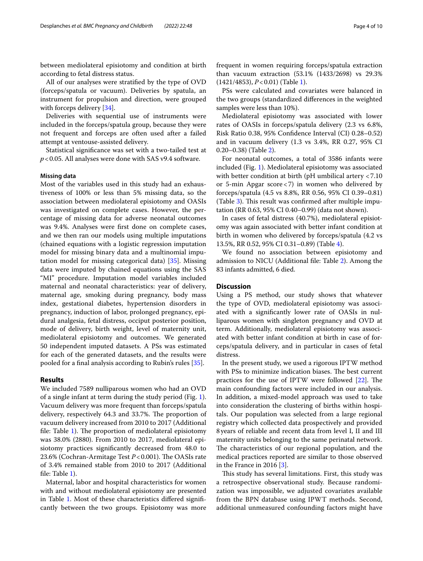between mediolateral episiotomy and condition at birth according to fetal distress status.

All of our analyses were stratifed by the type of OVD (forceps/spatula or vacuum). Deliveries by spatula, an instrument for propulsion and direction, were grouped with forceps delivery [\[34](#page-9-7)].

Deliveries with sequential use of instruments were included in the forceps/spatula group, because they were not frequent and forceps are often used after a failed attempt at ventouse-assisted delivery*.*

Statistical signifcance was set with a two-tailed test at *p*<0.05. All analyses were done with SAS v9.4 software.

### **Missing data**

Most of the variables used in this study had an exhaustiveness of 100% or less than 5% missing data, so the association between mediolateral episiotomy and OASIs was investigated on complete cases. However, the percentage of missing data for adverse neonatal outcomes was 9.4%. Analyses were frst done on complete cases, and we then ran our models using multiple imputations (chained equations with a logistic regression imputation model for missing binary data and a multinomial imputation model for missing categorical data) [\[35](#page-9-8)]. Missing data were imputed by chained equations using the SAS "MI" procedure. Imputation model variables included maternal and neonatal characteristics: year of delivery, maternal age, smoking during pregnancy, body mass index, gestational diabetes, hypertension disorders in pregnancy, induction of labor, prolonged pregnancy, epidural analgesia, fetal distress, occiput posterior position, mode of delivery, birth weight, level of maternity unit, mediolateral episiotomy and outcomes. We generated 50 independent imputed datasets. A PSs was estimated for each of the generated datasets, and the results were pooled for a fnal analysis according to Rubin's rules [[35](#page-9-8)].

### **Results**

We included 7589 nulliparous women who had an OVD of a single infant at term during the study period (Fig. [1](#page-4-0)). Vacuum delivery was more frequent than forceps/spatula delivery, respectively 64.3 and 33.7%. The proportion of vacuum delivery increased from 2010 to 2017 (Additional file: Table [1\)](#page-7-0). The proportion of mediolateral episiotomy was 38.0% (2880). From 2010 to 2017, mediolateral episiotomy practices signifcantly decreased from 48.0 to 23.6% (Cochran-Armitage Test *P* < 0.001). The OASIs rate of 3.4% remained stable from 2010 to 2017 (Additional fle: Table [1](#page-7-0)).

Maternal, labor and hospital characteristics for women with and without mediolateral episiotomy are presented in Table [1.](#page-5-0) Most of these characteristics difered signifcantly between the two groups. Episiotomy was more frequent in women requiring forceps/spatula extraction than vacuum extraction (53.1% (1433/2698) vs 29.3% (1421/4853), *P*<0.01) (Table [1](#page-5-0)).

PSs were calculated and covariates were balanced in the two groups (standardized diferences in the weighted samples were less than 10%).

Mediolateral episiotomy was associated with lower rates of OASIs in forceps/spatula delivery (2.3 vs 6.8%, Risk Ratio 0.38, 95% Confdence Interval (CI) 0.28–0.52) and in vacuum delivery (1.3 vs 3.4%, RR 0.27, 95% CI 0.20–0.38) (Table [2\)](#page-6-0).

For neonatal outcomes, a total of 3586 infants were included (Fig. [1](#page-4-0)). Mediolateral episiotomy was associated with better condition at birth (pH umbilical artery <7.10 or 5-min Apgar score<7) in women who delivered by forceps/spatula (4.5 vs 8.8%, RR 0.56, 95% CI 0.39–0.81) (Table  $3$ ). This result was confirmed after multiple imputation (RR 0.63, 95% CI 0.40–0.99) (data not shown).

In cases of fetal distress (40.7%), mediolateral episiotomy was again associated with better infant condition at birth in women who delivered by forceps/spatula (4.2 vs 13.5%, RR 0.52, 95% CI 0.31–0.89) (Table [4\)](#page-6-2).

We found no association between episiotomy and admission to NICU (Additional fle: Table [2](#page-7-0)). Among the 83 infants admitted, 6 died.

### **Discussion**

Using a PS method, our study shows that whatever the type of OVD, mediolateral episiotomy was associated with a signifcantly lower rate of OASIs in nulliparous women with singleton pregnancy and OVD at term. Additionally, mediolateral episiotomy was associated with better infant condition at birth in case of forceps/spatula delivery, and in particular in cases of fetal distress.

In the present study, we used a rigorous IPTW method with PSs to minimize indication biases. The best current practices for the use of IPTW were followed  $[22]$  $[22]$ . The main confounding factors were included in our analysis. In addition, a mixed-model approach was used to take into consideration the clustering of births within hospitals. Our population was selected from a large regional registry which collected data prospectively and provided 8years of reliable and recent data from level I, II and III maternity units belonging to the same perinatal network. The characteristics of our regional population, and the medical practices reported are similar to those observed in the France in 2016 [[3\]](#page-8-2).

This study has several limitations. First, this study was a retrospective observational study. Because randomization was impossible, we adjusted covariates available from the BPN database using IPWT methods. Second, additional unmeasured confounding factors might have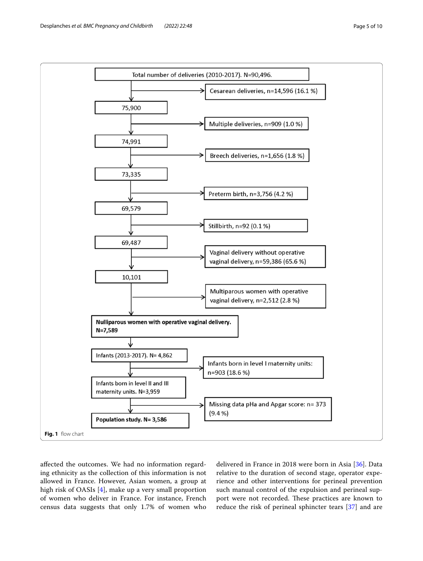

<span id="page-4-0"></span>afected the outcomes. We had no information regarding ethnicity as the collection of this information is not allowed in France. However, Asian women, a group at high risk of OASIs [\[4](#page-8-3)], make up a very small proportion of women who deliver in France. For instance, French census data suggests that only 1.7% of women who delivered in France in 2018 were born in Asia [[36\]](#page-9-9). Data relative to the duration of second stage, operator experience and other interventions for perineal prevention such manual control of the expulsion and perineal support were not recorded. These practices are known to reduce the risk of perineal sphincter tears [\[37](#page-9-10)] and are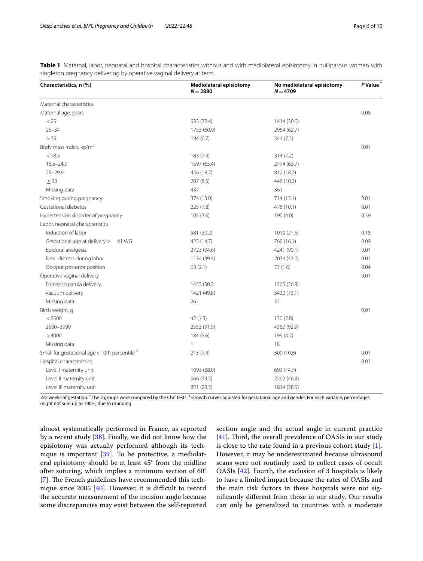<span id="page-5-0"></span>

|  | <b>Table 1</b> Maternal, labor, neonatal and hospital characteristics without and with mediolateral episiotomy in nulliparous women with |  |  |  |  |
|--|------------------------------------------------------------------------------------------------------------------------------------------|--|--|--|--|
|  | singleton pregnancy delivering by operative vaginal delivery at term                                                                     |  |  |  |  |

| Characteristics, n (%)                                    | Mediolateral episiotomy<br>$N = 2880$ | No mediolateral episiotomy<br>$N = 4709$ | P Value <sup>*</sup> |  |
|-----------------------------------------------------------|---------------------------------------|------------------------------------------|----------------------|--|
| Maternal characteristics                                  |                                       |                                          |                      |  |
| Maternal age, years                                       |                                       |                                          | 0.08                 |  |
| < 25                                                      | 933 (32.4)                            | 1414 (30.0)                              |                      |  |
| $25 - 34$                                                 | 1753 (60.9)                           | 2954 (62.7)                              |                      |  |
| > 35                                                      | 194(6.7)                              | 341 (7.3)                                |                      |  |
| Body mass index, $kg/m2$                                  |                                       |                                          | 0.01                 |  |
| < 18.5                                                    | 183(7.4)                              | 314(7.2)                                 |                      |  |
| $18.5 - 24.9$                                             | 1597 (65.4)                           | 2774 (63.7)                              |                      |  |
| $25 - 29.9$                                               | 456 (18.7)                            | 812 (18.7)                               |                      |  |
| $\geq$ 30                                                 | 207 (8.5)                             | 448 (10.3)                               |                      |  |
| Missing data                                              | 437                                   | 361                                      |                      |  |
| Smoking during pregnancy                                  | 374 (13.0)                            | 714 (15.1)                               | 0.01                 |  |
| Gestational diabetes                                      | 225 (7.8)                             | 478 (10.1)                               | 0.01                 |  |
| Hypertension disorder of pregnancy                        | 105(3.6)                              | 190 (4.0)                                | 0.39                 |  |
| Labor, neonatal characteristics                           |                                       |                                          |                      |  |
| Induction of labor                                        | 581 (20.2)                            | 1010(21.5)                               | 0.18                 |  |
| Gestational age at delivery ><br>41 WG                    | 423 (14.7)                            | 760 (16.1)                               | 0.09                 |  |
| Epidural analgesia                                        | 2723 (94.6)                           | 4241 (90.1)                              | 0.01                 |  |
| Fetal distress during labor                               | 1134 (39.4)                           | 2034 (43.2)                              | 0.01                 |  |
| Occiput posterior position                                | 63(2.1)                               | 73 (1.6)                                 | 0.04                 |  |
| Operative vaginal delivery                                |                                       |                                          | 0.01                 |  |
| Forceps/spatula delivery                                  | 1433 (50.2)                           | 1265 (26.9)                              |                      |  |
| Vacuum delivery                                           | 1421 (49.8)                           | 3432 (73.1)                              |                      |  |
| Missing data                                              | 26                                    | 12                                       |                      |  |
| Birth weight, g                                           |                                       |                                          | 0.01                 |  |
| < 2500                                                    | 42(1.5)                               | 130(2.8)                                 |                      |  |
| 2500-3999                                                 | 2553 (91.9)                           | 4362 (92.9)                              |                      |  |
| >4000                                                     | 184(6.6)                              | 199 (4.2)                                |                      |  |
| Missing data                                              | $\mathbf{1}$                          | 18                                       |                      |  |
| Small for gestational age < 10th percentile $^{\ddagger}$ | 213(7.4)                              | 500 (10.6)                               | 0.01                 |  |
| Hospital characteristics                                  |                                       |                                          | 0.01                 |  |
| Level I maternity unit                                    | 1093 (38.0)                           | 693 (14.7)                               |                      |  |
| Level II maternity unit                                   | 966 (33.5)                            | 2202 (46.8)                              |                      |  |
| Level III maternity unit                                  | 821 (28.5)                            | 1814 (38.5)                              |                      |  |

WG weeks of gestation. <sup>\*</sup> The 2 groups were compared by the Chi<sup>2</sup> tests. <sup>‡</sup> Growth curves adjusted for gestational age and gender. For each variable, percentages might not sum up to 100%, due to rounding

almost systematically performed in France, as reported by a recent study [[38\]](#page-9-11)*.* Finally, we did not know how the episiotomy was actually performed although its technique is important [[39\]](#page-9-12). To be protective, a mediolateral episiotomy should be at least 45° from the midline after suturing, which implies a minimum section of 60° [[7\]](#page-8-18). The French guidelines have recommended this technique since  $2005$  [[40\]](#page-9-13). However, it is difficult to record the accurate measurement of the incision angle because some discrepancies may exist between the self-reported section angle and the actual angle in current practice [[41\]](#page-9-14). Third, the overall prevalence of OASIs in our study is close to the rate found in a previous cohort study [\[1](#page-8-0)]. However, it may be underestimated because ultrasound scans were not routinely used to collect cases of occult OASIs [[42\]](#page-9-15)*.* Fourth, the exclusion of 3 hospitals is likely to have a limited impact because the rates of OASIs and the main risk factors in these hospitals were not signifcantly diferent from those in our study. Our results can only be generalized to countries with a moderate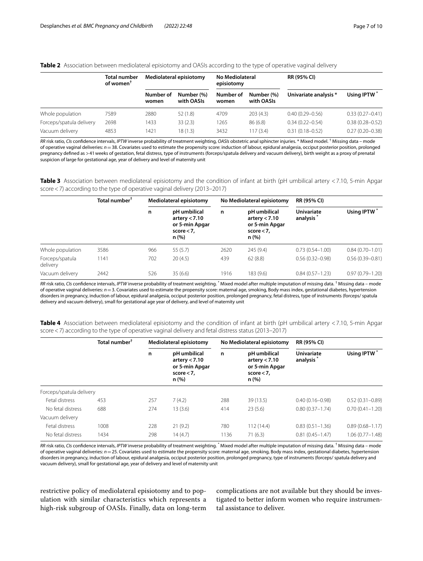### <span id="page-6-0"></span>**Table 2** Association between mediolateral episiotomy and OASIs according to the type of operative vaginal delivery

|                          | <b>Total number</b><br>of women $^{\dagger}$ | Mediolateral episiotomy |                          | No Mediolateral<br>episiotomy |                          | <b>RR (95% CI)</b>    |                     |  |
|--------------------------|----------------------------------------------|-------------------------|--------------------------|-------------------------------|--------------------------|-----------------------|---------------------|--|
|                          |                                              | Number of<br>women      | Number (%)<br>with OASIs | Number of<br>women            | Number (%)<br>with OASIs | Univariate analysis * | Using IPTW          |  |
| Whole population         | 7589                                         | 2880                    | 52(1.8)                  | 4709                          | 203(4.3)                 | $0.40(0.29 - 0.56)$   | $0.33(0.27 - 0.41)$ |  |
| Forceps/spatula delivery | 2698                                         | 1433                    | 33(2.3)                  | 1265                          | 86(6.8)                  | $0.34(0.22 - 0.54)$   | $0.38(0.28 - 0.52)$ |  |
| Vacuum delivery          | 4853                                         | 1421                    | 18 (1.3)                 | 3432                          | 117(3.4)                 | $0.31(0.18 - 0.52)$   | $0.27(0.20 - 0.38)$ |  |

*RR* risk ratio, *CIs* confdence intervals, *IPTW* inverse probability of treatment weighting, *OASIs* obstetric anal sphincter injuries. \* Mixed model. † Missing data – mode of operative vaginal deliveries: *n*=38. Covariates used to estimate the propensity score: induction of labour, epidural analgesia, occiput posterior position, prolonged pregnancy defned as >41weeks of gestation, fetal distress, type of instruments (forceps/spatula delivery and vacuum delivery), birth weight as a proxy of prenatal suspicion of large for gestational age, year of delivery and level of maternity unit

<span id="page-6-1"></span>**Table 3** Association between mediolateral episiotomy and the condition of infant at birth (pH umbilical artery <7.10, 5-min Apgar score<7) according to the type of operative vaginal delivery (2013–2017)

|                             | Total number <sup>†</sup> | Mediolateral episiotomy                                                         |         |      | No Mediolateral episiotomy                                                | <b>RR (95% CI)</b>                         |                         |  |
|-----------------------------|---------------------------|---------------------------------------------------------------------------------|---------|------|---------------------------------------------------------------------------|--------------------------------------------|-------------------------|--|
|                             |                           | pH umbilical<br>n<br>artery $< 7.10$<br>or 5-min Apgar<br>score $< 7$ ,<br>n(%) |         | n    | pH umbilical<br>artery $< 7.10$<br>or 5-min Apgar<br>score $<$ 7,<br>n(%) | <b>Univariate</b><br>analysis <sup>7</sup> | Using IPTW <sup>*</sup> |  |
| Whole population            | 3586                      | 966                                                                             | 55(5.7) | 2620 | 245(9.4)                                                                  | $0.73(0.54 - 1.00)$                        | $0.84(0.70 - 1.01)$     |  |
| Forceps/spatula<br>delivery | 1141                      | 702                                                                             | 20(4.5) | 439  | 62(8.8)                                                                   | $0.56(0.32 - 0.98)$                        | $0.56(0.39 - 0.81)$     |  |
| Vacuum delivery             | 2442                      | 526                                                                             | 35(6.6) | 1916 | 183 (9.6)                                                                 | $0.84(0.57 - 1.23)$                        | $0.97(0.79 - 1.20)$     |  |

*RR* risk ratio, *CIs* confidence intervals, *IPTW* inverse probability of treatment weighting. <sup>\*</sup> Mixed model after multiple imputation of missing data. <sup>†</sup> Missing data – mode of operative vaginal deliveries: *n*=3. Covariates used to estimate the propensity score: maternal age, smoking, Body mass index, gestational diabetes, hypertension disorders in pregnancy, induction of labour, epidural analgesia, occiput posterior position, prolonged pregnancy, fetal distress, type of instruments (forceps/ spatula delivery and vacuum delivery), small for gestational age year of delivery, and level of maternity unit

<span id="page-6-2"></span>

| Table 4 Association between mediolateral episiotomy and the condition of infant at birth (pH umbilical artery <7.10, 5-min Apgar |  |  |  |  |  |  |
|----------------------------------------------------------------------------------------------------------------------------------|--|--|--|--|--|--|
| score <7) according to the type of operative vaginal delivery and fetal distress status (2013–2017)                              |  |  |  |  |  |  |

|                          | Total number <sup>†</sup> | Mediolateral episiotomy |                                                                                 |      | No Mediolateral episiotomy                                                  | <b>RR (95% CI)</b>                                       |                     |  |
|--------------------------|---------------------------|-------------------------|---------------------------------------------------------------------------------|------|-----------------------------------------------------------------------------|----------------------------------------------------------|---------------------|--|
|                          |                           | n                       | pH umbilical<br>n<br>artery $< 7.10$<br>or 5-min Apgar<br>score $< 7.$<br>n (%) |      | pH umbilical<br>artery $< 7.10$<br>or 5-min Apgar<br>$score < 7$ ,<br>n (%) | Using IPTW <sup>*</sup><br><b>Univariate</b><br>analysis |                     |  |
| Forceps/spatula delivery |                           |                         |                                                                                 |      |                                                                             |                                                          |                     |  |
| Fetal distress           | 453                       | 257                     | 7(4.2)                                                                          | 288  | 39 (13.5)                                                                   | $0.40(0.16 - 0.98)$                                      | $0.52(0.31 - 0.89)$ |  |
| No fetal distress        | 688                       | 274                     | 13(3.6)                                                                         | 414  | 23(5.6)                                                                     | $0.80(0.37 - 1.74)$                                      | $0.70(0.41 - 1.20)$ |  |
| Vacuum delivery          |                           |                         |                                                                                 |      |                                                                             |                                                          |                     |  |
| Fetal distress           | 1008                      | 228                     | 21(9.2)                                                                         | 780  | 112 (14.4)                                                                  | $0.83(0.51 - 1.36)$                                      | $0.89(0.68 - 1.17)$ |  |
| No fetal distress        | 1434                      | 298                     | 14(4.7)                                                                         | 1136 | 71(6.3)                                                                     | $0.81(0.45 - 1.47)$                                      | $1.06(0.77 - 1.48)$ |  |

RR risk ratio, CIs confidence intervals, IPTW inverse probability of treatment weighting. <sup>\*</sup> Mixed model after multiple imputation of missing data. <sup>†</sup> Missing data – mode of operative vaginal deliveries: *n*=25. Covariates used to estimate the propensity score: maternal age, smoking, Body mass index, gestational diabetes, hypertension disorders in pregnancy, induction of labour, epidural analgesia, occiput posterior position, prolonged pregnancy, type of instruments (forceps/ spatula delivery and vacuum delivery), small for gestational age, year of delivery and level of maternity unit

restrictive policy of mediolateral episiotomy and to population with similar characteristics which represents a high-risk subgroup of OASIs. Finally, data on long-term

complications are not available but they should be investigated to better inform women who require instrumental assistance to deliver.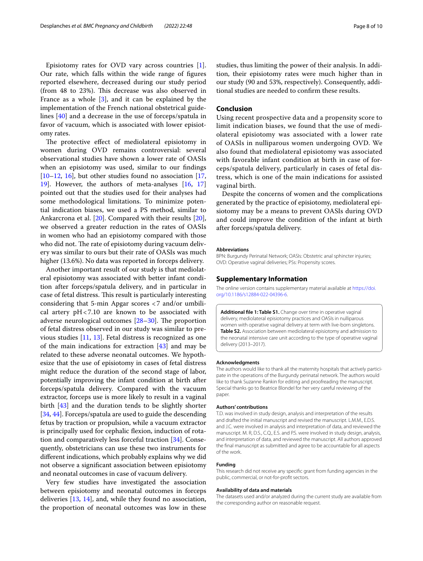Episiotomy rates for OVD vary across countries [\[1](#page-8-0)]. Our rate, which falls within the wide range of fgures reported elsewhere, decreased during our study period (from 48 to 23%). This decrease was also observed in France as a whole [\[3](#page-8-2)], and it can be explained by the implementation of the French national obstetrical guidelines [[40\]](#page-9-13) and a decrease in the use of forceps/spatula in favor of vacuum, which is associated with lower episiotomy rates.

The protective effect of mediolateral episiotomy in women during OVD remains controversial: several observational studies have shown a lower rate of OASIs when an episiotomy was used, similar to our fndings  $[10-12, 16]$  $[10-12, 16]$  $[10-12, 16]$  $[10-12, 16]$  $[10-12, 16]$ , but other studies found no association  $[17, 16]$  $[17, 16]$ [19\]](#page-8-22). However, the authors of meta-analyses [\[16](#page-8-20), [17](#page-8-21)] pointed out that the studies used for their analyses had some methodological limitations. To minimize potential indication biases, we used a PS method, similar to Ankarcrona et al. [\[20](#page-8-9)]. Compared with their results [\[20](#page-8-9)], we observed a greater reduction in the rates of OASIs in women who had an episiotomy compared with those who did not. The rate of episiotomy during vacuum delivery was similar to ours but their rate of OASIs was much higher (13.6%). No data was reported in forceps delivery.

Another important result of our study is that mediolateral episiotomy was associated with better infant condition after forceps/spatula delivery, and in particular in case of fetal distress. This result is particularly interesting considering that 5-min Apgar scores <7 and/or umbilical artery  $pH < 7.10$  are known to be associated with adverse neurological outcomes  $[28-30]$  $[28-30]$ . The proportion of fetal distress observed in our study was similar to previous studies [\[11](#page-8-23), [13](#page-8-14)]. Fetal distress is recognized as one of the main indications for extraction [[43\]](#page-9-16) and may be related to these adverse neonatal outcomes. We hypothesize that the use of episiotomy in cases of fetal distress might reduce the duration of the second stage of labor, potentially improving the infant condition at birth after forceps/spatula delivery. Compared with the vacuum extractor, forceps use is more likely to result in a vaginal birth [\[43\]](#page-9-16) and the duration tends to be slightly shorter [[34,](#page-9-7) [44\]](#page-9-17). Forceps/spatula are used to guide the descending fetus by traction or propulsion, while a vacuum extractor is principally used for cephalic fexion, induction of rotation and comparatively less forceful traction [\[34](#page-9-7)]. Consequently, obstetricians can use these two instruments for diferent indications, which probably explains why we did not observe a signifcant association between episiotomy and neonatal outcomes in case of vacuum delivery.

Very few studies have investigated the association between episiotomy and neonatal outcomes in forceps deliveries [[13](#page-8-14), [14\]](#page-8-15), and, while they found no association, the proportion of neonatal outcomes was low in these studies, thus limiting the power of their analysis. In addition, their episiotomy rates were much higher than in our study (90 and 53%, respectively). Consequently, additional studies are needed to confrm these results.

### **Conclusion**

Using recent prospective data and a propensity score to limit indication biases, we found that the use of mediolateral episiotomy was associated with a lower rate of OASIs in nulliparous women undergoing OVD. We also found that mediolateral episiotomy was associated with favorable infant condition at birth in case of forceps/spatula delivery, particularly in cases of fetal distress, which is one of the main indications for assisted vaginal birth.

Despite the concerns of women and the complications generated by the practice of episiotomy, mediolateral episiotomy may be a means to prevent OASIs during OVD and could improve the condition of the infant at birth after forceps/spatula delivery.

#### **Abbreviations**

BPN: Burgundy Perinatal Network; OASIs: Obstetric anal sphincter injuries; OVD: Operative vaginal deliveries; PSs: Propensity scores.

#### **Supplementary Information**

The online version contains supplementary material available at [https://doi.](https://doi.org/10.1186/s12884-022-04396-6) [org/10.1186/s12884-022-04396-6](https://doi.org/10.1186/s12884-022-04396-6).

<span id="page-7-0"></span>**Additional fle 1: Table S1.** Change over time in operative vaginal delivery, mediolateral episiotomy practices and OASIs in nulliparous women with operative vaginal delivery at term with live-born singletons. **Table S2.** Association between mediolateral episiotomy and admission to the neonatal intensive care unit according to the type of operative vaginal delivery (2013–2017).

#### **Acknowledgments**

The authors would like to thank all the maternity hospitals that actively participate in the operations of the Burgundy perinatal network. The authors would like to thank Suzanne Rankin for editing and proofreading the manuscript. Special thanks go to Beatrice Blondel for her very careful reviewing of the paper.

#### **Authors' contributions**

T.D. was involved in study design, analysis and interpretation of the results and drafted the initial manuscript and revised the manuscript. L.M.M., E.D.S. and J.C. were involved in analysis and interpretation of data, and reviewed the manuscript. M. R, D.S., C.Q., E.S. and P.S. were involved in study design, analysis, and interpretation of data, and reviewed the manuscript. All authors approved the fnal manuscript as submitted and agree to be accountable for all aspects of the work.

#### **Funding**

This research did not receive any specifc grant from funding agencies in the public, commercial, or not-for-proft sectors.

#### **Availability of data and materials**

The datasets used and/or analyzed during the current study are available from the corresponding author on reasonable request.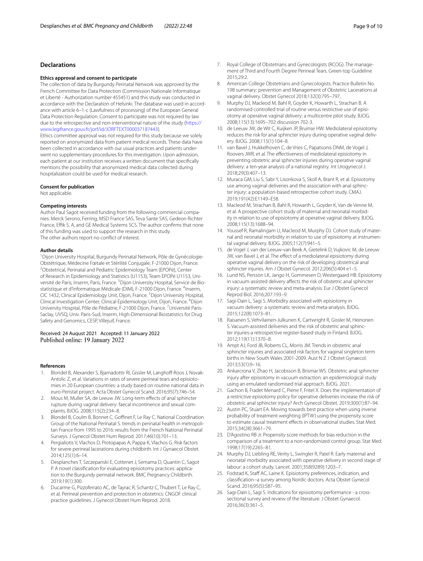### **Declarations**

#### **Ethics approval and consent to participate**

The collection of data by Burgundy Perinatal Network was approved by the French Committee for Data Protection (Commission Nationale Informatique et Liberté - Authorization number 455451) and this study was conducted in accordance with the Declaration of Helsinki. The database was used in accordance with article 6–1-c (Lawfulness of processing) of the European General Data Protection Regulation. Consent to participate was not required by law due to the retrospective and non-interventional nature of the study ([https://](https://www.legifrance.gouv.fr/jorf/id/JORFTEXT000037187443) [www.legifrance.gouv.fr/jorf/id/JORFTEXT000037187443](https://www.legifrance.gouv.fr/jorf/id/JORFTEXT000037187443)).

Ethics committee approval was not required for this study because we solely reported on anonymized data from patient medical records. These data have been collected in accordance with our usual practices and patients underwent no supplementary procedures for this investigation. Upon admission, each patient at our institution receives a written document that specifcally mentions the possibility that anonymized medical data collected during hospitalization could be used for medical research.

#### **Consent for publication**

Not applicable.

#### **Competing interests**

Author Paul Sagot received funding from the following commercial companies: Merck Serono, Ferring, MSD France SAS, Teva Sante SAS, Gedeon Richter France, Effik S. A, and GE Medical Systems SCS. The author confirms that none of this funding was used to support the research in this study. The other authors report no confict of interest.

#### **Author details**

<sup>1</sup> Dijon University Hospital, Burgundy Perinatal Network, Pôle de Gynécologie-Obstétrique, Médecine Fœtale et Stérilité Conjugale, F‑21000 Dijon, France. 2 Obstetrical, Perinatal and Pediatric Epidemiology Team (EPOPé), Center of Research in Epidemiology and Statistics (U1153), Team EPOPé U1153, Université de Paris, Inserm, Paris, France. <sup>3</sup> Dijon University Hospital, Service de Biostatistique et d'Informatique Médicale (DIM), F-21000 Dijon, France. <sup>4</sup>Inserm, CIC 1432, Clinical Epidemiology Unit, Dijon, France. <sup>5</sup>Dijon University Hospital, Clinical Investigation Center, Clinical Epidemiology Unit, Dijon, France. <sup>6</sup>Dijon University Hospital, Pôle de Pédiatrie, F-21000 Dijon, France. <sup>7</sup>Université Paris-Saclay, UVSQ, Univ. Paris-Sud, Inserm, High-Dimensional Biostatistics for Drug Safety and Genomics, CESP, Villejuif, France.

### Received: 24 August 2021 Accepted: 11 January 2022 Published online: 19 January 2022

#### **References**

- <span id="page-8-0"></span>1. Blondel B, Alexander S, Biarnadottir RJ, Gissler M, Langhoff-Roos J, Novak-Antolic Z, et al. Variations in rates of severe perineal tears and episiotomies in 20 European countries: a study based on routine national data in euro-Peristat project. Acta Obstet Gynecol Scand. 2016;95(7):746–54.
- <span id="page-8-1"></span>2. Mous M, Muller SA, de Leeuw JW. Long-term efects of anal sphincter rupture during vaginal delivery: faecal incontinence and sexual complaints. BJOG. 2008;115(2):234–8.
- <span id="page-8-2"></span>3. Blondel B, Coulm B, Bonnet C, Goffinet F, Le Ray C. National Coordination Group of the National Perinatal S. trends in perinatal health in metropolitan France from 1995 to 2016: results from the French National Perinatal Surveys. J Gynecol Obstet Hum Reprod. 2017;46(10):701–13.
- <span id="page-8-3"></span>4. Pergialiotis V, Vlachos D, Protopapas A, Pappa K, Vlachos G. Risk factors for severe perineal lacerations during childbirth. Int J Gynaecol Obstet. 2014;125(1):6–14.
- <span id="page-8-4"></span>5. Desplanches T, Szczepanski E, Cottenet J, Semama D, Quantin C, Sagot P. A novel classification for evaluating episiotomy practices: application to the Burgundy perinatal network. BMC Pregnancy Childbirth. 2019;19(1):300.
- <span id="page-8-5"></span>6. Ducarme G, Pizzoferrato AC, de Tayrac R, Schantz C, Thubert T, Le Ray C, et al. Perineal prevention and protection in obstetrics: CNGOF clinical practice guidelines. J Gynecol Obstet Hum Reprod. 2018.
- <span id="page-8-18"></span>7. Royal College of Obstetrians and Gynecologists (RCOG). The management of Third and Fourth Degree Perineal Tears. Green-top Guideline 2015;29:2.
- <span id="page-8-6"></span>8. American College Obstetrians and Gynecologists. Practice Bulletin No. 198 summary: prevention and Management of Obstetric Lacerations at vaginal delivery. Obstet Gynecol 2018;132(3):795–797.
- <span id="page-8-7"></span>9. Murphy DJ, Macleod M, Bahl R, Goyder K, Howarth L, Strachan B. A randomised controlled trial of routine versus restrictive use of episiotomy at operative vaginal delivery: a multicentre pilot study. BJOG. 2008;115(13):1695–702 discussion 702-3.
- <span id="page-8-8"></span>10. de Leeuw JW, de Wit C, Kuijken JP, Bruinse HW. Mediolateral episiotomy reduces the risk for anal sphincter injury during operative vaginal delivery. BJOG. 2008;115(1):104–8.
- <span id="page-8-23"></span>11. van Bavel J, Hukkelhoven C, de Vries C, Papatsonis DNM, de Vogel J, Roovers JWR, et al. The efectiveness of mediolateral episiotomy in preventing obstetric anal sphincter injuries during operative vaginal delivery: a ten-year analysis of a national registry. Int Urogynecol J. 2018;29(3):407–13.
- <span id="page-8-19"></span>12. Muraca GM, Liu S, Sabr Y, Lisonkova S, Skoll A, Brant R, et al. Episiotomy use among vaginal deliveries and the association with anal sphincter injury: a population-based retrospective cohort study. CMAJ. 2019;191(42):E1149–E58.
- <span id="page-8-14"></span>13. Macleod M, Strachan B, Bahl R, Howarth L, Goyder K, Van de Venne M, et al. A prospective cohort study of maternal and neonatal morbidity in relation to use of episiotomy at operative vaginal delivery. BJOG. 2008;115(13):1688–94.
- <span id="page-8-15"></span>14. Youssef R, Ramalingam U, Macleod M, Murphy DJ. Cohort study of maternal and neonatal morbidity in relation to use of episiotomy at instrumental vaginal delivery. BJOG. 2005;112(7):941–5.
- 15. de Vogel J, van der Leeuw-van Beek A, Gietelink D, Vujkovic M, de Leeuw JW, van Bavel J, et al. The effect of a mediolateral episiotomy during operative vaginal delivery on the risk of developing obstetrical anal sphincter injuries. Am J Obstet Gynecol. 2012;206(5):404 e1-5
- <span id="page-8-20"></span>16. Lund NS, Persson LK, Jango H, Gommesen D, Westergaard HB. Episiotomy in vacuum-assisted delivery affects the risk of obstetric anal sphincter injury: a systematic review and meta-analysis. Eur J Obstet Gynecol Reprod Biol. 2016;207:193–9.
- <span id="page-8-21"></span>17. Sagi-Dain L, Sagi S. Morbidity associated with episiotomy in vacuum delivery: a systematic review and meta-analysis. BJOG. 2015;122(8):1073–81.
- 18. Raisanen S, Vehvilainen-Julkunen K, Cartwright R, Gissler M, Heinonen S. Vacuum-assisted deliveries and the risk of obstetric anal sphincter injuries-a retrospective register-based study in Finland. BJOG. 2012;119(11):1370–8.
- <span id="page-8-22"></span>19. Ampt AJ, Ford JB, Roberts CL, Morris JM. Trends in obstetric anal sphincter injuries and associated risk factors for vaginal singleton term births in New South Wales 2001-2009. Aust N Z J Obstet Gynaecol. 2013;53(1):9–16.
- <span id="page-8-9"></span>20. Ankarcrona V, Zhao H, Jacobsson B, Brismar WS. Obstetric anal sphincter injury after episiotomy in vacuum extraction: an epidemiological study using an emulated randomised trial approach. BJOG. 2021.
- <span id="page-8-10"></span>21. Gachon B, Fradet Menard C, Pierre F, Fritel X. Does the implementation of a restrictive episiotomy policy for operative deliveries increase the risk of obstetric anal sphincter injury? Arch Gynecol Obstet. 2019;300(1):87–94.
- <span id="page-8-11"></span>22. Austin PC, Stuart EA. Moving towards best practice when using inverse probability of treatment weighting (IPTW) using the propensity score to estimate causal treatment effects in observational studies. Stat Med. 2015;34(28):3661–79.
- <span id="page-8-12"></span>23. D'Agostino RB Jr. Propensity score methods for bias reduction in the comparison of a treatment to a non-randomized control group. Stat Med. 1998;17(19):2265–81.
- <span id="page-8-13"></span>24. Murphy DJ, Liebling RE, Verity L, Swingler R, Patel R. Early maternal and neonatal morbidity associated with operative delivery in second stage of labour: a cohort study. Lancet. 2001;358(9289):1203–7.
- <span id="page-8-16"></span>25. Fodstad K, Staff AC, Laine K. Episiotomy preferences, indication, and classifcation--a survey among Nordic doctors. Acta Obstet Gynecol Scand. 2016;95(5):587–95.
- <span id="page-8-17"></span>26. Sagi-Dain L, Sagi S. Indications for episiotomy performance - a crosssectional survey and review of the literature. J Obstet Gynaecol. 2016;36(3):361–5.